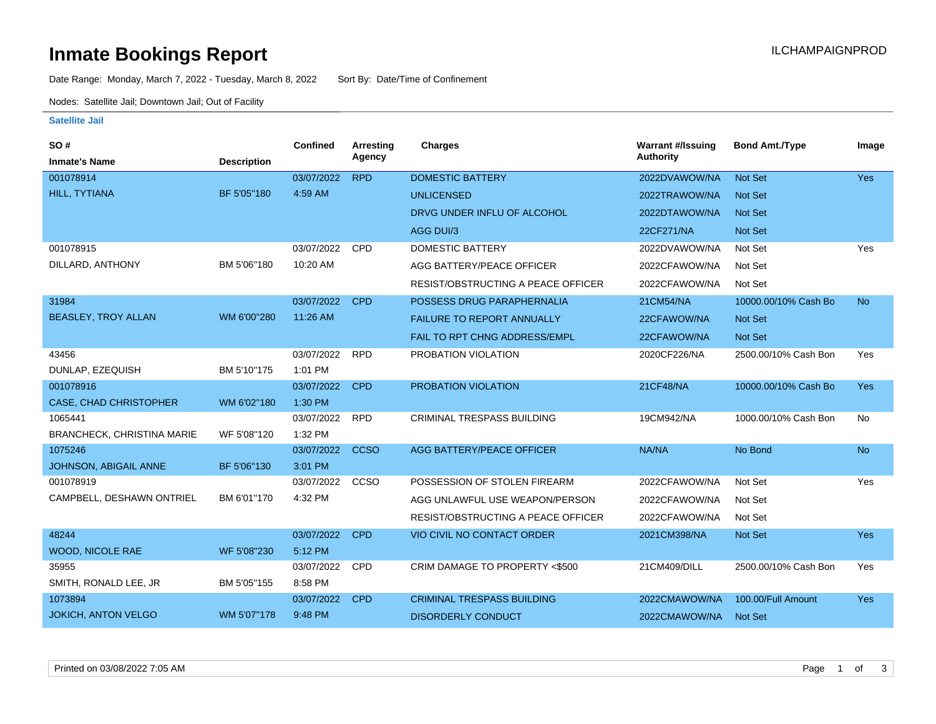### **Inmate Bookings Report International Contract Contract Contract Contract Contract Contract Contract Contract Contract Contract Contract Contract Contract Contract Contract Contract Contract Contract Contract Contract Co**

Date Range: Monday, March 7, 2022 - Tuesday, March 8, 2022 Sort By: Date/Time of Confinement

Nodes: Satellite Jail; Downtown Jail; Out of Facility

#### **Satellite Jail**

| SO#                               |                    | Confined   | Arresting   | <b>Charges</b>                            | <b>Warrant #/Issuing</b> | <b>Bond Amt./Type</b> | Image      |
|-----------------------------------|--------------------|------------|-------------|-------------------------------------------|--------------------------|-----------------------|------------|
| <b>Inmate's Name</b>              | <b>Description</b> |            | Agency      |                                           | <b>Authority</b>         |                       |            |
| 001078914                         |                    | 03/07/2022 | <b>RPD</b>  | <b>DOMESTIC BATTERY</b>                   | 2022DVAWOW/NA            | Not Set               | Yes        |
| HILL, TYTIANA                     | BF 5'05"180        | 4:59 AM    |             | <b>UNLICENSED</b>                         | 2022TRAWOW/NA            | <b>Not Set</b>        |            |
|                                   |                    |            |             | DRVG UNDER INFLU OF ALCOHOL               | 2022DTAWOW/NA            | <b>Not Set</b>        |            |
|                                   |                    |            |             | AGG DUI/3                                 | 22CF271/NA               | <b>Not Set</b>        |            |
| 001078915                         |                    | 03/07/2022 | CPD         | DOMESTIC BATTERY                          | 2022DVAWOW/NA            | Not Set               | Yes        |
| DILLARD, ANTHONY                  | BM 5'06"180        | 10:20 AM   |             | AGG BATTERY/PEACE OFFICER                 | 2022CFAWOW/NA            | Not Set               |            |
|                                   |                    |            |             | <b>RESIST/OBSTRUCTING A PEACE OFFICER</b> | 2022CFAWOW/NA            | Not Set               |            |
| 31984                             |                    | 03/07/2022 | <b>CPD</b>  | POSSESS DRUG PARAPHERNALIA                | 21CM54/NA                | 10000.00/10% Cash Bo  | <b>No</b>  |
| <b>BEASLEY, TROY ALLAN</b>        | WM 6'00"280        | 11:26 AM   |             | <b>FAILURE TO REPORT ANNUALLY</b>         | 22CFAWOW/NA              | Not Set               |            |
|                                   |                    |            |             | <b>FAIL TO RPT CHNG ADDRESS/EMPL</b>      | 22CFAWOW/NA              | Not Set               |            |
| 43456                             |                    | 03/07/2022 | <b>RPD</b>  | PROBATION VIOLATION                       | 2020CF226/NA             | 2500.00/10% Cash Bon  | Yes        |
| DUNLAP, EZEQUISH                  | BM 5'10"175        | 1:01 PM    |             |                                           |                          |                       |            |
| 001078916                         |                    | 03/07/2022 | <b>CPD</b>  | PROBATION VIOLATION                       | 21CF48/NA                | 10000.00/10% Cash Bo  | <b>Yes</b> |
| <b>CASE, CHAD CHRISTOPHER</b>     | WM 6'02"180        | 1:30 PM    |             |                                           |                          |                       |            |
| 1065441                           |                    | 03/07/2022 | <b>RPD</b>  | <b>CRIMINAL TRESPASS BUILDING</b>         | 19CM942/NA               | 1000.00/10% Cash Bon  | No         |
| <b>BRANCHECK, CHRISTINA MARIE</b> | WF 5'08"120        | 1:32 PM    |             |                                           |                          |                       |            |
| 1075246                           |                    | 03/07/2022 | <b>CCSO</b> | AGG BATTERY/PEACE OFFICER                 | NA/NA                    | No Bond               | <b>No</b>  |
| JOHNSON, ABIGAIL ANNE             | BF 5'06"130        | 3:01 PM    |             |                                           |                          |                       |            |
| 001078919                         |                    | 03/07/2022 | CCSO        | POSSESSION OF STOLEN FIREARM              | 2022CFAWOW/NA            | Not Set               | Yes        |
| CAMPBELL, DESHAWN ONTRIEL         | BM 6'01"170        | 4:32 PM    |             | AGG UNLAWFUL USE WEAPON/PERSON            | 2022CFAWOW/NA            | Not Set               |            |
|                                   |                    |            |             | RESIST/OBSTRUCTING A PEACE OFFICER        | 2022CFAWOW/NA            | Not Set               |            |
| 48244                             |                    | 03/07/2022 | <b>CPD</b>  | <b>VIO CIVIL NO CONTACT ORDER</b>         | 2021CM398/NA             | <b>Not Set</b>        | Yes        |
| <b>WOOD, NICOLE RAE</b>           | WF 5'08"230        | 5:12 PM    |             |                                           |                          |                       |            |
| 35955                             |                    | 03/07/2022 | CPD         | CRIM DAMAGE TO PROPERTY <\$500            | 21CM409/DILL             | 2500.00/10% Cash Bon  | Yes        |
| SMITH, RONALD LEE, JR             | BM 5'05"155        | 8:58 PM    |             |                                           |                          |                       |            |
| 1073894                           |                    | 03/07/2022 | <b>CPD</b>  | <b>CRIMINAL TRESPASS BUILDING</b>         | 2022CMAWOW/NA            | 100.00/Full Amount    | Yes        |
| <b>JOKICH, ANTON VELGO</b>        | WM 5'07"178        | 9:48 PM    |             | <b>DISORDERLY CONDUCT</b>                 | 2022CMAWOW/NA            | <b>Not Set</b>        |            |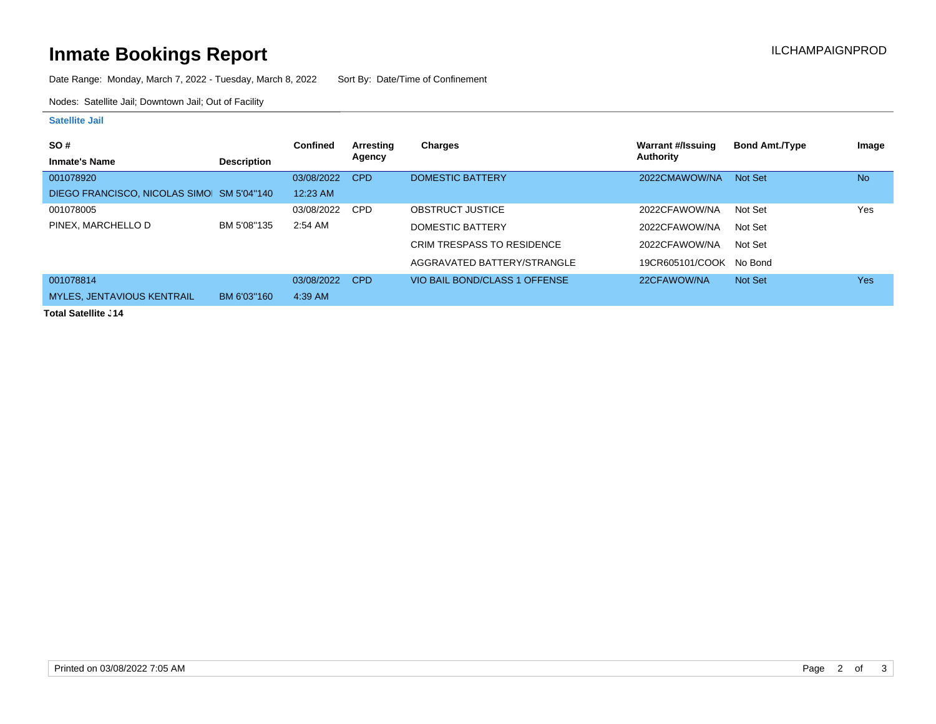# **Inmate Bookings Report Installation Control Control Control Control Control Control Control Control Control Control Control Control Control Control Control Control Control Control Control Control Control Control Control**

Date Range: Monday, March 7, 2022 - Tuesday, March 8, 2022 Sort By: Date/Time of Confinement

Nodes: Satellite Jail; Downtown Jail; Out of Facility

#### **Satellite Jail**

| <b>SO#</b>                                |                    | <b>Confined</b> | Arresting  | Charges                           | Warrant #/Issuing       | <b>Bond Amt./Type</b> | Image      |
|-------------------------------------------|--------------------|-----------------|------------|-----------------------------------|-------------------------|-----------------------|------------|
| <b>Inmate's Name</b>                      | <b>Description</b> |                 | Agency     |                                   | Authority               |                       |            |
| 001078920                                 |                    | 03/08/2022      | <b>CPD</b> | <b>DOMESTIC BATTERY</b>           | 2022CMAWOW/NA           | Not Set               | <b>No</b>  |
| DIEGO FRANCISCO, NICOLAS SIMO SM 5'04"140 |                    | $12:23$ AM      |            |                                   |                         |                       |            |
| 001078005                                 |                    | 03/08/2022      | <b>CPD</b> | <b>OBSTRUCT JUSTICE</b>           | 2022CFAWOW/NA           | Not Set               | Yes        |
| PINEX, MARCHELLO D                        | BM 5'08"135        | $2:54$ AM       |            | DOMESTIC BATTERY                  | 2022CFAWOW/NA           | Not Set               |            |
|                                           |                    |                 |            | <b>CRIM TRESPASS TO RESIDENCE</b> | 2022CFAWOW/NA           | Not Set               |            |
|                                           |                    |                 |            | AGGRAVATED BATTERY/STRANGLE       | 19CR605101/COOK No Bond |                       |            |
| 001078814                                 |                    | 03/08/2022      | <b>CPD</b> | VIO BAIL BOND/CLASS 1 OFFENSE     | 22CFAWOW/NA             | <b>Not Set</b>        | <b>Yes</b> |
| <b>MYLES, JENTAVIOUS KENTRAIL</b>         | BM 6'03"160        | 4:39 AM         |            |                                   |                         |                       |            |
| アンシント のうえいせん こうしょく                        |                    |                 |            |                                   |                         |                       |            |

**Total Satellite J14**